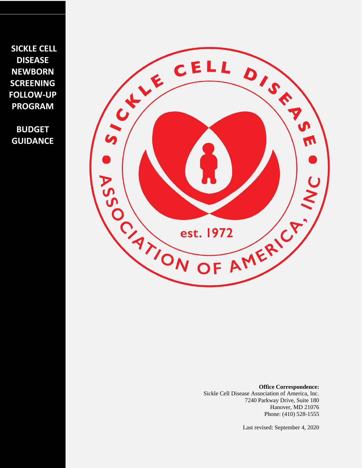**SICKLE CELL DISEASE NEWBORN SCREENING FOLLOW-UP PROGRAM** 

**BUDGET GUIDANCE**



**Office Correspondence:**  Sickle Cell Disease Association of America, Inc. 7240 Parkway Drive, Suite 180 Hanover, MD 21076 Phone: (410) 528-1555

Last revised: September 4, 2020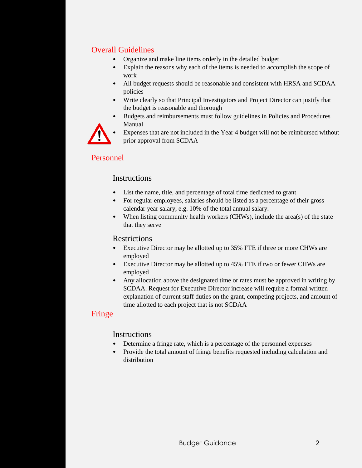# Overall Guidelines

- Organize and make line items orderly in the detailed budget
- Explain the reasons why each of the items is needed to accomplish the scope of work
- All budget requests should be reasonable and consistent with HRSA and SCDAA policies
- Write clearly so that Principal Investigators and Project Director can justify that the budget is reasonable and thorough
- Budgets and reimbursements must follow guidelines in Policies and Procedures Manual



Expenses that are not included in the Year 4 budget will not be reimbursed without prior approval from SCDAA

# Personnel

# **Instructions**

- List the name, title, and percentage of total time dedicated to grant
- For regular employees, salaries should be listed as a percentage of their gross calendar year salary, e.g. 10% of the total annual salary.
- When listing community health workers (CHWs), include the area(s) of the state that they serve

## Restrictions

- Executive Director may be allotted up to 35% FTE if three or more CHWs are employed
- Executive Director may be allotted up to 45% FTE if two or fewer CHWs are employed
- Any allocation above the designated time or rates must be approved in writing by SCDAA. Request for Executive Director increase will require a formal written explanation of current staff duties on the grant, competing projects, and amount of time allotted to each project that is not SCDAA

# Fringe

## **Instructions**

- Determine a fringe rate, which is a percentage of the personnel expenses
- Provide the total amount of fringe benefits requested including calculation and distribution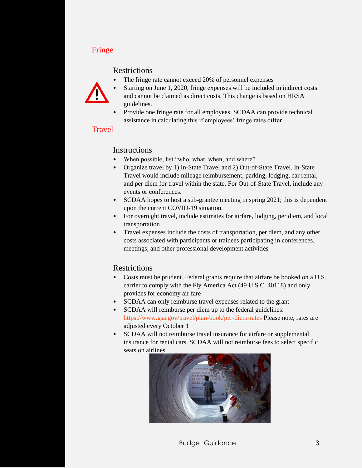# Fringe

#### **Restrictions**

The fringe rate cannot exceed 20% of personnel expenses



- Starting on June 1, 2020, fringe expenses will be included in indirect costs and cannot be claimed as direct costs. This change is based on HRSA guidelines.
- Provide one fringe rate for all employees. SCDAA can provide technical assistance in calculating this if employees' fringe rates differ

## **Travel**

### Instructions

- When possible, list "who, what, when, and where"
- Organize travel by 1) In-State Travel and 2) Out-of-State Travel. In-State Travel would include mileage reimbursement, parking, lodging, car rental, and per diem for travel within the state. For Out-of-State Travel, include any events or conferences.
- SCDAA hopes to host a sub-grantee meeting in spring 2021; this is dependent upon the current COVID-19 situation.
- For overnight travel, include estimates for airfare, lodging, per diem, and local transportation
- Travel expenses include the costs of transportation, per diem, and any other costs associated with participants or trainees participating in conferences, meetings, and other professional development activities

## **Restrictions**

- Costs must be prudent. Federal grants require that airfare be booked on a U.S. carrier to comply with the Fly America Act (49 U.S.C. 40118) and only provides for economy air fare
- SCDAA can only reimburse travel expenses related to the grant
- SCDAA will reimburse per diem up to the federal guidelines: <https://www.gsa.gov/travel/plan-book/per-diem-rates> Please note, rates are adjusted every October 1
- SCDAA will not reimburse travel insurance for airfare or supplemental insurance for rental cars. SCDAA will not reimburse fees to select specific seats on airlines

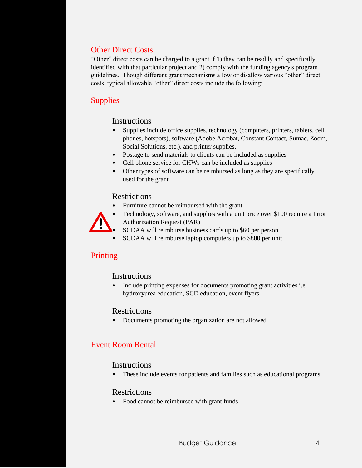# Other Direct Costs

"Other" direct costs can be charged to a grant if 1) they can be readily and specifically identified with that particular project and 2) comply with the funding agency's program guidelines. Though different grant mechanisms allow or disallow various "other" direct costs, typical allowable "other" direct costs include the following:

# **Supplies**

### **Instructions**

- Supplies include office supplies, technology (computers, printers, tablets, cell phones, hotspots), software (Adobe Acrobat, Constant Contact, Sumac, Zoom, Social Solutions, etc.), and printer supplies.
- Postage to send materials to clients can be included as supplies
- Cell phone service for CHWs can be included as supplies
- Other types of software can be reimbursed as long as they are specifically used for the grant

#### **Restrictions**

• Furniture cannot be reimbursed with the grant



- Technology, software, and supplies with a unit price over \$100 require a Prior Authorization Request (PAR)
- SCDAA will reimburse business cards up to \$60 per person
- SCDAA will reimburse laptop computers up to \$800 per unit

# Printing

#### **Instructions**

• Include printing expenses for documents promoting grant activities i.e. hydroxyurea education, SCD education, event flyers.

#### Restrictions

• Documents promoting the organization are not allowed

# Event Room Rental

#### **Instructions**

• These include events for patients and families such as educational programs

#### **Restrictions**

• Food cannot be reimbursed with grant funds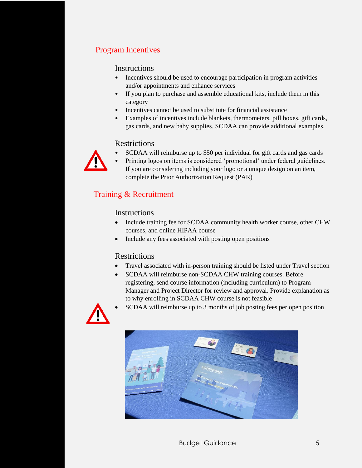# Program Incentives

#### Instructions

- Incentives should be used to encourage participation in program activities and/or appointments and enhance services
- If you plan to purchase and assemble educational kits, include them in this category
- Incentives cannot be used to substitute for financial assistance
- Examples of incentives include blankets, thermometers, pill boxes, gift cards, gas cards, and new baby supplies. SCDAA can provide additional examples.

## **Restrictions**

- SCDAA will reimburse up to \$50 per individual for gift cards and gas cards
- 
- Printing logos on items is considered 'promotional' under federal guidelines. If you are considering including your logo or a unique design on an item, complete the Prior Authorization Request (PAR)

# Training & Recruitment

### Instructions

- Include training fee for SCDAA community health worker course, other CHW courses, and online HIPAA course
- Include any fees associated with posting open positions

## **Restrictions**

- Travel associated with in-person training should be listed under Travel section
- SCDAA will reimburse non-SCDAA CHW training courses. Before registering, send course information (including curriculum) to Program Manager and Project Director for review and approval. Provide explanation as to why enrolling in SCDAA CHW course is not feasible



SCDAA will reimburse up to 3 months of job posting fees per open position

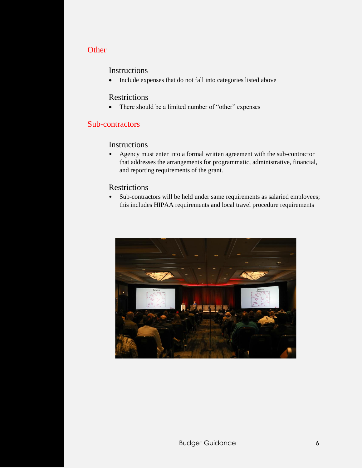## **Other**

#### Instructions

• Include expenses that do not fall into categories listed above

#### Restrictions

• There should be a limited number of "other" expenses

#### Sub-contractors

#### Instructions

• Agency must enter into a formal written agreement with the sub-contractor that addresses the arrangements for programmatic, administrative, financial, and reporting requirements of the grant.

### Restrictions

• Sub-contractors will be held under same requirements as salaried employees; this includes HIPAA requirements and local travel procedure requirements

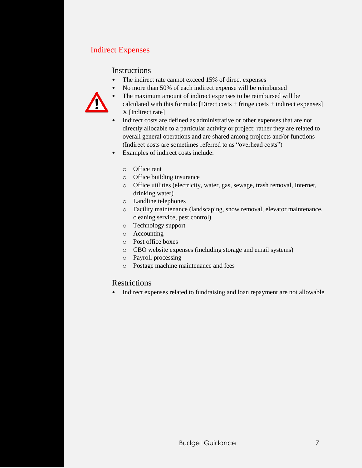# Indirect Expenses

### **Instructions**

- The indirect rate cannot exceed 15% of direct expenses
- 
- No more than 50% of each indirect expense will be reimbursed • The maximum amount of indirect expenses to be reimbursed will be
	- calculated with this formula: [Direct costs + fringe costs + indirect expenses] X [Indirect rate]
	- Indirect costs are defined as administrative or other expenses that are not directly allocable to a particular activity or project; rather they are related to overall general operations and are shared among projects and/or functions (Indirect costs are sometimes referred to as "overhead costs")
	- Examples of indirect costs include:
		- o Office rent
		- o Office building insurance
		- o Office utilities (electricity, water, gas, sewage, trash removal, Internet, drinking water)
		- o Landline telephones
		- o Facility maintenance (landscaping, snow removal, elevator maintenance, cleaning service, pest control)
		- o Technology support
		- o Accounting
		- o Post office boxes
		- o CBO website expenses (including storage and email systems)
		- o Payroll processing
		- o Postage machine maintenance and fees

#### Restrictions

• Indirect expenses related to fundraising and loan repayment are not allowable